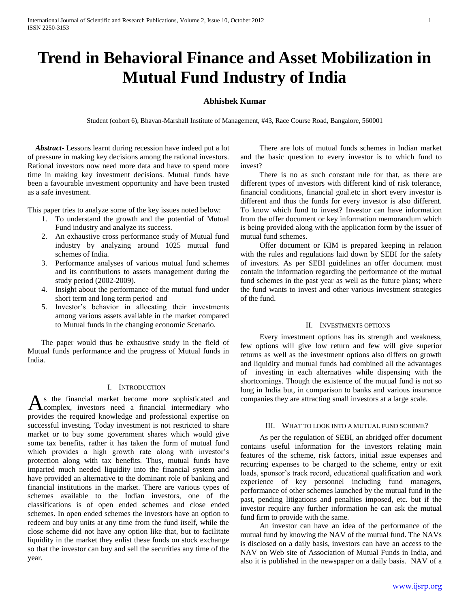# **Trend in Behavioral Finance and Asset Mobilization in Mutual Fund Industry of India**

# **Abhishek Kumar**

Student (cohort 6), Bhavan-Marshall Institute of Management, #43, Race Course Road, Bangalore, 560001

 *Abstract***-** Lessons learnt during recession have indeed put a lot of pressure in making key decisions among the rational investors. Rational investors now need more data and have to spend more time in making key investment decisions. Mutual funds have been a favourable investment opportunity and have been trusted as a safe investment.

This paper tries to analyze some of the key issues noted below:

- 1. To understand the growth and the potential of Mutual Fund industry and analyze its success.
- 2. An exhaustive cross performance study of Mutual fund industry by analyzing around 1025 mutual fund schemes of India.
- 3. Performance analyses of various mutual fund schemes and its contributions to assets management during the study period (2002-2009).
- 4. Insight about the performance of the mutual fund under short term and long term period and
- 5. Investor's behavior in allocating their investments among various assets available in the market compared to Mutual funds in the changing economic Scenario.

 The paper would thus be exhaustive study in the field of Mutual funds performance and the progress of Mutual funds in India.

## I. INTRODUCTION

s the financial market become more sophisticated and As the financial market become more sophisticated and complex, investors need a financial intermediary who provides the required knowledge and professional expertise on successful investing. Today investment is not restricted to share market or to buy some government shares which would give some tax benefits, rather it has taken the form of mutual fund which provides a high growth rate along with investor's protection along with tax benefits. Thus, mutual funds have imparted much needed liquidity into the financial system and have provided an alternative to the dominant role of banking and financial institutions in the market. There are various types of schemes available to the Indian investors, one of the classifications is of open ended schemes and close ended schemes. In open ended schemes the investors have an option to redeem and buy units at any time from the fund itself, while the close scheme did not have any option like that, but to facilitate liquidity in the market they enlist these funds on stock exchange so that the investor can buy and sell the securities any time of the year.

 There are lots of mutual funds schemes in Indian market and the basic question to every investor is to which fund to invest?

 There is no as such constant rule for that, as there are different types of investors with different kind of risk tolerance, financial conditions, financial goal.etc in short every investor is different and thus the funds for every investor is also different. To know which fund to invest? Investor can have information from the offer document or key information memorandum which is being provided along with the application form by the issuer of mutual fund schemes.

 Offer document or KIM is prepared keeping in relation with the rules and regulations laid down by SEBI for the safety of investors. As per SEBI guidelines an offer document must contain the information regarding the performance of the mutual fund schemes in the past year as well as the future plans; where the fund wants to invest and other various investment strategies of the fund.

## II. INVESTMENTS OPTIONS

 Every investment options has its strength and weakness, few options will give low return and few will give superior returns as well as the investment options also differs on growth and liquidity and mutual funds had combined all the advantages of investing in each alternatives while dispensing with the shortcomings. Though the existence of the mutual fund is not so long in India but, in comparison to banks and various insurance companies they are attracting small investors at a large scale.

# III. WHAT TO LOOK INTO A MUTUAL FUND SCHEME?

 As per the regulation of SEBI, an abridged offer document contains useful information for the investors relating main features of the scheme, risk factors, initial issue expenses and recurring expenses to be charged to the scheme, entry or exit loads, sponsor's track record, educational qualification and work experience of key personnel including fund managers, performance of other schemes launched by the mutual fund in the past, pending litigations and penalties imposed, etc. but if the investor require any further information he can ask the mutual fund firm to provide with the same.

 An investor can have an idea of the performance of the mutual fund by knowing the NAV of the mutual fund. The NAVs is disclosed on a daily basis, investors can have an access to the NAV on Web site of Association of Mutual Funds in India, and also it is published in the newspaper on a daily basis. NAV of a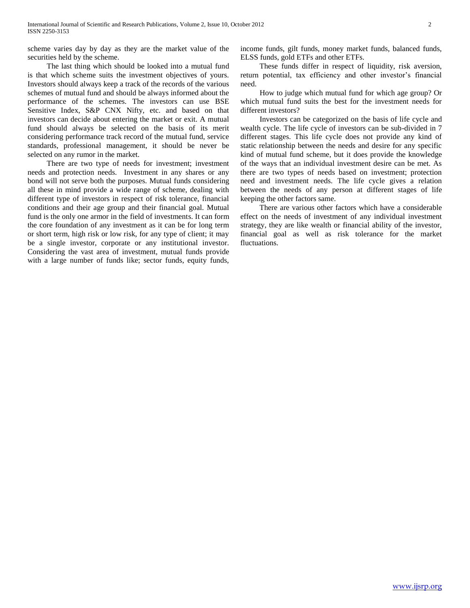scheme varies day by day as they are the market value of the securities held by the scheme.

 The last thing which should be looked into a mutual fund is that which scheme suits the investment objectives of yours. Investors should always keep a track of the records of the various schemes of mutual fund and should be always informed about the performance of the schemes. The investors can use BSE Sensitive Index, S&P CNX Nifty, etc. and based on that investors can decide about entering the market or exit. A mutual fund should always be selected on the basis of its merit considering performance track record of the mutual fund, service standards, professional management, it should be never be selected on any rumor in the market.

 There are two type of needs for investment; investment needs and protection needs. Investment in any shares or any bond will not serve both the purposes. Mutual funds considering all these in mind provide a wide range of scheme, dealing with different type of investors in respect of risk tolerance, financial conditions and their age group and their financial goal. Mutual fund is the only one armor in the field of investments. It can form the core foundation of any investment as it can be for long term or short term, high risk or low risk, for any type of client; it may be a single investor, corporate or any institutional investor. Considering the vast area of investment, mutual funds provide with a large number of funds like; sector funds, equity funds,

income funds, gilt funds, money market funds, balanced funds, ELSS funds, gold ETFs and other ETFs.

 These funds differ in respect of liquidity, risk aversion, return potential, tax efficiency and other investor's financial need.

 How to judge which mutual fund for which age group? Or which mutual fund suits the best for the investment needs for different investors?

 Investors can be categorized on the basis of life cycle and wealth cycle. The life cycle of investors can be sub-divided in 7 different stages. This life cycle does not provide any kind of static relationship between the needs and desire for any specific kind of mutual fund scheme, but it does provide the knowledge of the ways that an individual investment desire can be met. As there are two types of needs based on investment; protection need and investment needs. The life cycle gives a relation between the needs of any person at different stages of life keeping the other factors same.

 There are various other factors which have a considerable effect on the needs of investment of any individual investment strategy, they are like wealth or financial ability of the investor, financial goal as well as risk tolerance for the market fluctuations.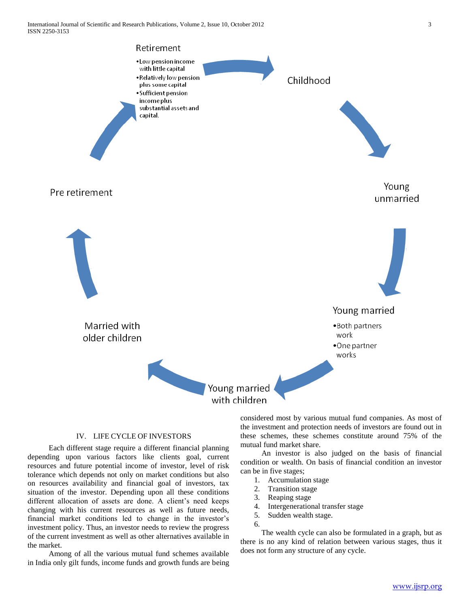Retirement • Low pension income with little capital . Relatively low pension

plus some capital • Sufficient pension income plus substantial assets and

capital.

Pre retirement



Young unmarried



# IV. LIFE CYCLE OF INVESTORS

 Each different stage require a different financial planning depending upon various factors like clients goal, current resources and future potential income of investor, level of risk tolerance which depends not only on market conditions but also on resources availability and financial goal of investors, tax situation of the investor. Depending upon all these conditions different allocation of assets are done. A client's need keeps changing with his current resources as well as future needs, financial market conditions led to change in the investor's investment policy. Thus, an investor needs to review the progress of the current investment as well as other alternatives available in the market.

 Among of all the various mutual fund schemes available in India only gilt funds, income funds and growth funds are being considered most by various mutual fund companies. As most of the investment and protection needs of investors are found out in these schemes, these schemes constitute around 75% of the mutual fund market share.

 An investor is also judged on the basis of financial condition or wealth. On basis of financial condition an investor can be in five stages;

- 1. Accumulation stage
- 2. Transition stage
- 3. Reaping stage
- 4. Intergenerational transfer stage
- 5. Sudden wealth stage.
- 6.

 The wealth cycle can also be formulated in a graph, but as there is no any kind of relation between various stages, thus it does not form any structure of any cycle.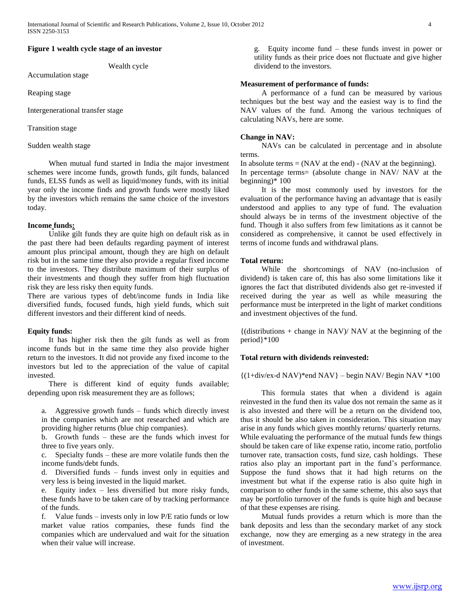# **Figure 1 wealth cycle stage of an investor**

Wealth cycle

Accumulation stage

Reaping stage

Intergenerational transfer stage

Transition stage

Sudden wealth stage

 When mutual fund started in India the major investment schemes were income funds, growth funds, gilt funds, balanced funds, ELSS funds as well as liquid/money funds, with its initial year only the income finds and growth funds were mostly liked by the investors which remains the same choice of the investors today.

#### **Income funds:**

 Unlike gilt funds they are quite high on default risk as in the past there had been defaults regarding payment of interest amount plus principal amount, though they are high on default risk but in the same time they also provide a regular fixed income to the investors. They distribute maximum of their surplus of their investments and though they suffer from high fluctuation risk they are less risky then equity funds.

There are various types of debt/income funds in India like diversified funds, focused funds, high yield funds, which suit different investors and their different kind of needs.

#### **Equity funds:**

 It has higher risk then the gilt funds as well as from income funds but in the same time they also provide higher return to the investors. It did not provide any fixed income to the investors but led to the appreciation of the value of capital invested.

 There is different kind of equity funds available; depending upon risk measurement they are as follows;

a. Aggressive growth funds – funds which directly invest in the companies which are not researched and which are providing higher returns (blue chip companies).

b. Growth funds – these are the funds which invest for three to five years only.

c. Specialty funds – these are more volatile funds then the income funds/debt funds.

d. Diversified funds – funds invest only in equities and very less is being invested in the liquid market.

e. Equity index – less diversified but more risky funds, these funds have to be taken care of by tracking performance of the funds.

f. Value funds – invests only in low P/E ratio funds or low market value ratios companies, these funds find the companies which are undervalued and wait for the situation when their value will increase.

g. Equity income fund – these funds invest in power or utility funds as their price does not fluctuate and give higher dividend to the investors.

# **Measurement of performance of funds:**

 A performance of a fund can be measured by various techniques but the best way and the easiest way is to find the NAV values of the fund. Among the various techniques of calculating NAVs, here are some.

## **Change in NAV:**

 NAVs can be calculated in percentage and in absolute terms.

In absolute terms  $= (NAV$  at the end)  $- (NAV$  at the beginning). In percentage terms= (absolute change in NAV/ NAV at the beginning)\* 100

 It is the most commonly used by investors for the evaluation of the performance having an advantage that is easily understood and applies to any type of fund. The evaluation should always be in terms of the investment objective of the fund. Though it also suffers from few limitations as it cannot be considered as comprehensive, it cannot be used effectively in terms of income funds and withdrawal plans.

#### **Total return:**

 While the shortcomings of NAV (no-inclusion of dividend) is taken care of, this has also some limitations like it ignores the fact that distributed dividends also get re-invested if received during the year as well as while measuring the performance must be interpreted in the light of market conditions and investment objectives of the fund.

 ${(distributions + change in NAV)/ NAV}$  at the beginning of the period}\*100

### **Total return with dividends reinvested:**

 ${(1+div/ex-d) NAV}^*$ end  $NAV$ } – begin NAV/ Begin NAV \*100

 This formula states that when a dividend is again reinvested in the fund then its value dos not remain the same as it is also invested and there will be a return on the dividend too, thus it should be also taken in consideration. This situation may arise in any funds which gives monthly returns/ quarterly returns. While evaluating the performance of the mutual funds few things should be taken care of like expense ratio, income ratio, portfolio turnover rate, transaction costs, fund size, cash holdings. These ratios also play an important part in the fund's performance. Suppose the fund shows that it had high returns on the investment but what if the expense ratio is also quite high in comparison to other funds in the same scheme, this also says that may be portfolio turnover of the funds is quite high and because of that these expenses are rising.

 Mutual funds provides a return which is more than the bank deposits and less than the secondary market of any stock exchange, now they are emerging as a new strategy in the area of investment.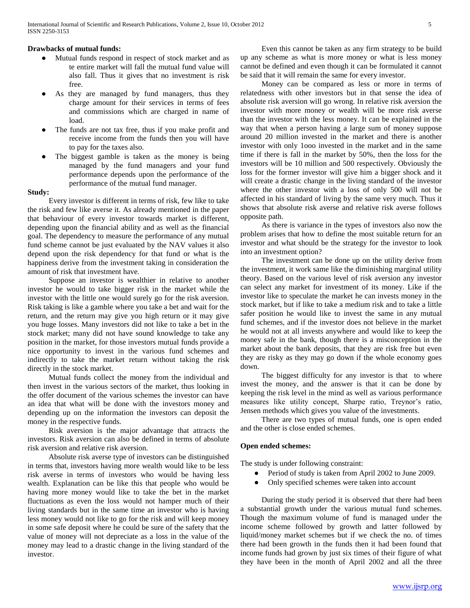# **Drawbacks of mutual funds:**

- Mutual funds respond in respect of stock market and as te entire market will fall the mutual fund value will also fall. Thus it gives that no investment is risk free.
- As they are managed by fund managers, thus they charge amount for their services in terms of fees and commissions which are charged in name of load.
- The funds are not tax free, thus if you make profit and receive income from the funds then you will have to pay for the taxes also.
- The biggest gamble is taken as the money is being managed by the fund managers and your fund performance depends upon the performance of the performance of the mutual fund manager.

#### **Study:**

 Every investor is different in terms of risk, few like to take the risk and few like averse it. As already mentioned in the paper that behaviour of every investor towards market is different, depending upon the financial ability and as well as the financial goal. The dependency to measure the performance of any mutual fund scheme cannot be just evaluated by the NAV values it also depend upon the risk dependency for that fund or what is the happiness derive from the investment taking in consideration the amount of risk that investment have.

 Suppose an investor is wealthier in relative to another investor he would to take bigger risk in the market while the investor with the little one would surely go for the risk aversion. Risk taking is like a gamble where you take a bet and wait for the return, and the return may give you high return or it may give you huge losses. Many investors did not like to take a bet in the stock market; many did not have sound knowledge to take any position in the market, for those investors mutual funds provide a nice opportunity to invest in the various fund schemes and indirectly to take the market return without taking the risk directly in the stock market.

 Mutual funds collect the money from the individual and then invest in the various sectors of the market, thus looking in the offer document of the various schemes the investor can have an idea that what will be done with the investors money and depending up on the information the investors can deposit the money in the respective funds.

 Risk aversion is the major advantage that attracts the investors. Risk aversion can also be defined in terms of absolute risk aversion and relative risk aversion.

 Absolute risk averse type of investors can be distinguished in terms that, investors having more wealth would like to be less risk averse in terms of investors who would be having less wealth. Explanation can be like this that people who would be having more money would like to take the bet in the market fluctuations as even the loss would not hamper much of their living standards but in the same time an investor who is having less money would not like to go for the risk and will keep money in some safe deposit where he could be sure of the safety that the value of money will not depreciate as a loss in the value of the money may lead to a drastic change in the living standard of the investor.

 Even this cannot be taken as any firm strategy to be build up any scheme as what is more money or what is less money cannot be defined and even though it can be formulated it cannot be said that it will remain the same for every investor.

 Money can be compared as less or more in terms of relatedness with other investors but in that sense the idea of absolute risk aversion will go wrong. In relative risk aversion the investor with more money or wealth will be more risk averse than the investor with the less money. It can be explained in the way that when a person having a large sum of money suppose around 20 million invested in the market and there is another investor with only 1ooo invested in the market and in the same time if there is fall in the market by 50%, then the loss for the investors will be 10 million and 500 respectively. Obviously the loss for the former investor will give him a bigger shock and it will create a drastic change in the living standard of the investor where the other investor with a loss of only 500 will not be affected in his standard of living by the same very much. Thus it shows that absolute risk averse and relative risk averse follows opposite path.

 As there is variance in the types of investors also now the problem arises that how to define the most suitable return for an investor and what should be the strategy for the investor to look into an investment option?

 The investment can be done up on the utility derive from the investment, it work same like the diminishing marginal utility theory. Based on the various level of risk aversion any investor can select any market for investment of its money. Like if the investor like to speculate the market he can invests money in the stock market, but if like to take a medium risk and to take a little safer position he would like to invest the same in any mutual fund schemes, and if the investor does not believe in the market he would not at all invests anywhere and would like to keep the money safe in the bank, though there is a misconception in the market about the bank deposits, that they are risk free but even they are risky as they may go down if the whole economy goes down.

 The biggest difficulty for any investor is that to where invest the money, and the answer is that it can be done by keeping the risk level in the mind as well as various performance measures like utility concept, Sharpe ratio, Treynor's ratio, Jensen methods which gives you value of the investments.

 There are two types of mutual funds, one is open ended and the other is close ended schemes.

## **Open ended schemes:**

The study is under following constraint:

- Period of study is taken from April 2002 to June 2009.
- Only specified schemes were taken into account

 During the study period it is observed that there had been a substantial growth under the various mutual fund schemes. Though the maximum volume of fund is managed under the income scheme followed by growth and latter followed by liquid/money market schemes but if we check the no. of times there had been growth in the funds then it had been found that income funds had grown by just six times of their figure of what they have been in the month of April 2002 and all the three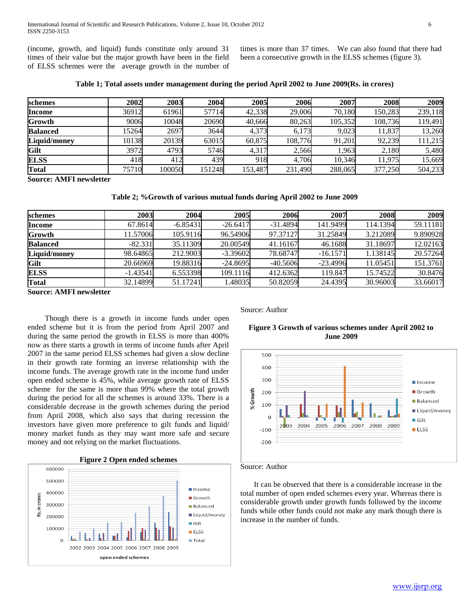(income, growth, and liquid) funds constitute only around 31 times of their value but the major growth have been in the field of ELSS schemes were the average growth in the number of

times is more than 37 times. We can also found that there had been a consecutive growth in the ELSS schemes (figure 3).

**Table 1; Total assets under management during the period April 2002 to June 2009(Rs. in crores)**

| schemes             | 2002  | 2003   | 2004   | 2005    | 2006    | 2007    | 2008    | 2009    |
|---------------------|-------|--------|--------|---------|---------|---------|---------|---------|
| <b>Income</b>       | 36912 | 61961  | 57714  | 42,338  | 29,006  | 70.180  | 150,283 | 239,118 |
| Growth              | 9006  | 10048  | 20690  | 40,666  | 80,263  | 105,352 | 108,736 | 119,491 |
| <b>Balanced</b>     | 15264 | 2697   | 3644   | 4,373   | 6,173   | 9,023   | 11,837  | 13,260  |
| <b>Liquid/money</b> | 10138 | 20139  | 63015  | 60,875  | 108,776 | 91,201  | 92,239  | 111,215 |
| Gilt                | 3972  | 4793   | 5746   | 4,317   | 2,566   | 1,963   | 2,180   | 5,480   |
| <b>ELSS</b>         | 418   | 412    | 439    | 918     | 4.706   | 10,346  | 11.975  | 15,669  |
| <b>Total</b>        | 75710 | 100050 | 151248 | 153,487 | 231,490 | 288,065 | 377,250 | 504,233 |

**Source: AMFI newsletter**

**Table 2; %Growth of various mutual funds during April 2002 to June 2009**

| schemes             | 2003       | 2004       | 2005       | 2006       | 2007       | 2008     | 2009     |
|---------------------|------------|------------|------------|------------|------------|----------|----------|
| <b>Income</b>       | 67.8614    | $-6.85431$ | $-26.6417$ | $-31.4894$ | 141.9499   | 114.1394 | 59.11181 |
| <b>Growth</b>       | 11.57006   | 105.9116   | 96.54906   | 97.37127   | 31.25849   | 3.212089 | 9.890928 |
| <b>Balanced</b>     | $-82.331$  | 35.11309   | 20.00549   | 41.16167   | 46.1688    | 31.18697 | 12.02163 |
| <b>Liquid/money</b> | 98.64865   | 212.9003   | $-3.39602$ | 78.68747   | $-16.1571$ | 1.138145 | 20.57264 |
| Gilt                | 20.66969   | 19.88316   | $-24.8695$ | $-40.5606$ | $-23.4996$ | 11.05451 | 151.3761 |
| <b>ELSS</b>         | $-1.43541$ | 6.553398   | 109.1116   | 412.6362   | 119.847    | 15.74522 | 30.8476  |
| <b>Total</b>        | 32.14899   | 51.17241   | 1.48035    | 50.82059   | 24.4395    | 30.96003 | 33.66017 |

**Source: AMFI newsletter**

 Though there is a growth in income funds under open ended scheme but it is from the period from April 2007 and during the same period the growth in ELSS is more than 400% now as there starts a growth in terms of income funds after April 2007 in the same period ELSS schemes had given a slow decline in their growth rate forming an inverse relationship with the income funds. The average growth rate in the income fund under open ended scheme is 45%, while average growth rate of ELSS scheme for the same is more than 99% where the total growth during the period for all the schemes is around 33%. There is a considerable decrease in the growth schemes during the period from April 2008, which also says that during recession the investors have given more preference to gilt funds and liquid/ money market funds as they may want more safe and secure money and not relying on the market fluctuations.





Source: Author

# **Figure 3 Growth of various schemes under April 2002 to June 2009**



#### Source: Author

 It can be observed that there is a considerable increase in the total number of open ended schemes every year. Whereas there is considerable growth under growth funds followed by the income funds while other funds could not make any mark though there is increase in the number of funds.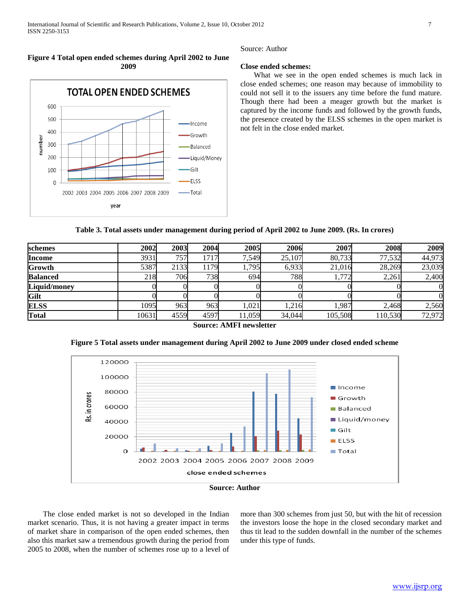# **Figure 4 Total open ended schemes during April 2002 to June 2009**



Source: Author

# **Close ended schemes:**

 What we see in the open ended schemes is much lack in close ended schemes; one reason may because of immobility to could not sell it to the issuers any time before the fund mature. Though there had been a meager growth but the market is captured by the income funds and followed by the growth funds, the presence created by the ELSS schemes in the open market is not felt in the close ended market.

| Table 3. Total assets under management during period of April 2002 to June 2009. (Rs. In crores) |  |  |  |
|--------------------------------------------------------------------------------------------------|--|--|--|
|--------------------------------------------------------------------------------------------------|--|--|--|

| schemes         | 2002  | 2003 | 2004 | 2005   | 2006   | 2007    | 2008    | 2009   |
|-----------------|-------|------|------|--------|--------|---------|---------|--------|
| <b>Income</b>   | 3931  | 757  | 1717 | 7,549  | 25,107 | 80,733  | 77,532  | 44,973 |
| Growth          | 5387  | 2133 | 1179 | 1,795  | 6,933  | 21,016  | 28,269  | 23,039 |
| <b>Balanced</b> | 218   | 706  | 738  | 694    | 788    | 1,772   | 2,261   | 2,400  |
| Liquid/money    |       |      |      |        |        |         |         |        |
| Gilt            |       |      |      |        |        |         |         |        |
| <b>ELSS</b>     | 1095  | 963  | 963  | 1,021  | 1,216  | 1,987   | 2.468   | 2,560  |
| <b>Total</b>    | 10631 | 4559 | 4597 | 11,059 | 34,044 | 105,508 | 110,530 | 72,972 |

**Source: AMFI newsletter**

**Figure 5 Total assets under management during April 2002 to June 2009 under closed ended scheme**



**Source: Author**

 The close ended market is not so developed in the Indian market scenario. Thus, it is not having a greater impact in terms of market share in comparison of the open ended schemes, then also this market saw a tremendous growth during the period from 2005 to 2008, when the number of schemes rose up to a level of more than 300 schemes from just 50, but with the hit of recession the investors loose the hope in the closed secondary market and thus tit lead to the sudden downfall in the number of the schemes under this type of funds.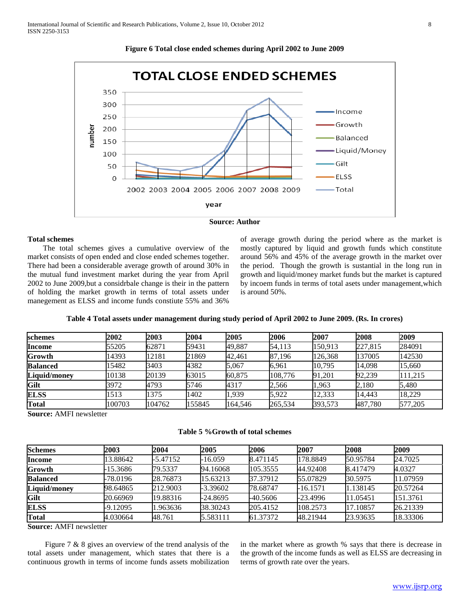



# **Total schemes**

The total schemes gives a cumulative overview of the market consists of open ended and close ended schemes together. There had been a considerable average growth of around 30% in the mutual fund investment market during the year from April 2002 to June 2009,but a considrbale change is their in the pattern of holding the market growth in terms of total assets under manegement as ELSS and income funds constiute 55% and 36%

of average growth during the period where as the market is mostly captured by liquid and growth funds which constitute around 56% and 45% of the average growth in the market over the period. Though the growth is sustantial in the long run in growth and liquid/money market funds but the market is captured by incoem funds in terms of total asets under management,which is around 50%.

| Table 4 Total assets under management during study period of April 2002 to June 2009. (Rs. In crores) |  |  |  |
|-------------------------------------------------------------------------------------------------------|--|--|--|
|-------------------------------------------------------------------------------------------------------|--|--|--|

| schemes         | 2002   | 2003   | 2004   | 2005    | 2006    | 2007    | 2008    | 2009    |
|-----------------|--------|--------|--------|---------|---------|---------|---------|---------|
| <b>Income</b>   | 55205  | 62871  | 59431  | 49,887  | 54.113  | 150.913 | 227,815 | 284091  |
| Growth          | 14393  | 12181  | 21869  | 42,461  | 87,196  | 126.368 | 137005  | 142530  |
| <b>Balanced</b> | 15482  | 3403   | 4382   | 5,067   | 6,961   | 10,795  | 14,098  | 15,660  |
| Liquid/money    | 10138  | 20139  | 63015  | 60,875  | 108.776 | 91,201  | 92,239  | 111.215 |
| Gilt            | 3972   | 4793   | 5746   | 4317    | 2,566   | 1,963   | 2,180   | 5,480   |
| <b>ELSS</b>     | 1513   | 1375   | 1402   | .939    | 5.922   | 12.333  | 14.443  | 18.229  |
| <b>Total</b>    | 100703 | 104762 | 155845 | 164.546 | 265.534 | 393.573 | 487.780 | 577.205 |

**Source:** AMFI newsletter

# **Table 5 %Growth of total schemes**

| <b>Schemes</b>      | 2003     | 2004       | 2005       | 2006       | 2007       | 2008     | 2009     |
|---------------------|----------|------------|------------|------------|------------|----------|----------|
| <b>Income</b>       | 13.88642 | $-5.47152$ | -16.059    | 8.471145   | 178.8849   | 50.95784 | 24.7025  |
| Growth              | -15.3686 | 79.5337    | 94.16068   | 105.3555   | 44.92408   | 8.417479 | 4.0327   |
| <b>Balanced</b>     | -78.0196 | 28.76873   | 15.63213   | 37.37912   | 55.07829   | 30.5975  | 11.07959 |
| <b>Liquid/money</b> | 98.64865 | 212.9003   | $-3.39602$ | 78.68747   | -16.1571   | 1.138145 | 20.57264 |
| Gilt                | 20.66969 | 19.88316   | $-24.8695$ | $-40.5606$ | $-23.4996$ | 11.05451 | 151.3761 |
| <b>ELSS</b>         | -9.12095 | 1.963636   | 38.30243   | 205.4152   | 108.2573   | 17.10857 | 26.21339 |
| <b>Total</b>        | 4.030664 | 48.761     | 5.583111   | 61.37372   | 48.21944   | 23.93635 | 18.33306 |

**Source:** AMFI newsletter

 Figure 7 & 8 gives an overview of the trend analysis of the total assets under management, which states that there is a continuous growth in terms of income funds assets mobilization in the market where as growth % says that there is decrease in the growth of the income funds as well as ELSS are decreasing in terms of growth rate over the years.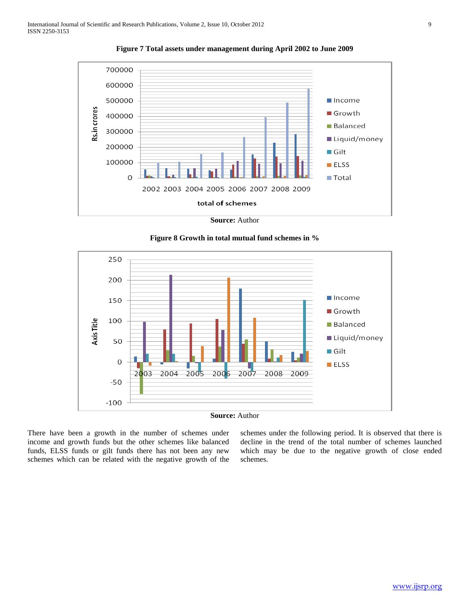

**Figure 7 Total assets under management during April 2002 to June 2009**



**Figure 8 Growth in total mutual fund schemes in %**



There have been a growth in the number of schemes under income and growth funds but the other schemes like balanced funds, ELSS funds or gilt funds there has not been any new schemes which can be related with the negative growth of the schemes under the following period. It is observed that there is decline in the trend of the total number of schemes launched which may be due to the negative growth of close ended schemes.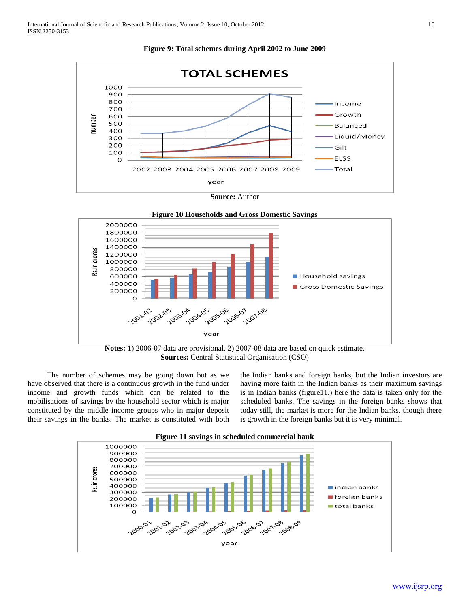

**Figure 9: Total schemes during April 2002 to June 2009**







 The number of schemes may be going down but as we have observed that there is a continuous growth in the fund under income and growth funds which can be related to the mobilisations of savings by the household sector which is major constituted by the middle income groups who in major deposit their savings in the banks. The market is constituted with both

the Indian banks and foreign banks, but the Indian investors are having more faith in the Indian banks as their maximum savings is in Indian banks (figure11.) here the data is taken only for the scheduled banks. The savings in the foreign banks shows that today still, the market is more for the Indian banks, though there is growth in the foreign banks but it is very minimal.



**Figure 11 savings in scheduled commercial bank**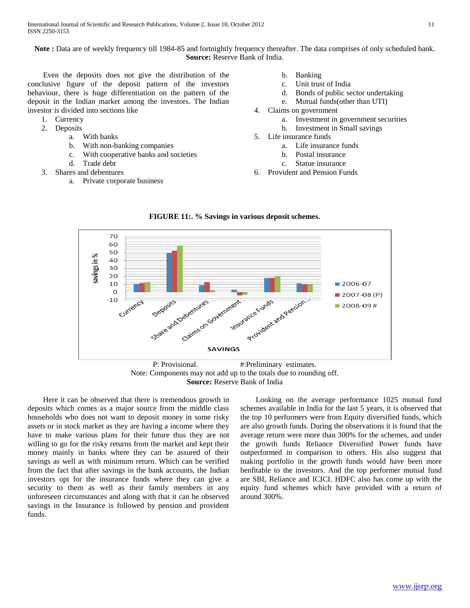**Note :** Data are of weekly frequency till 1984-85 and fortnightly frequency thereafter. The data comprises of only scheduled bank. **Source:** Reserve Bank of India.

 Even the deposits does not give the distribution of the conclusive figure of the deposit pattern of the investors behaviour, there is huge differentiation on the pattern of the deposit in the Indian market among the investors. The Indian investor is divided into sections like

- 1. Currency
- 2. Deposits
	- a. With banks
		- b. With non-banking companies
		- c. With cooperative banks and societies
		- d. Trade debt
- 3. Shares and debentures
	- a. Private corporate business
- b. Banking
- c. Unit trust of India
- d. Bonds of public sector undertaking
- e. Mutual funds(other than UTI)
- 4. Claims on government
	- a. Investment in government securities
	- b. Investment in Small savings
- 5. Life insurance funds
	- a. Life insurance funds
	- b. Postal insurance
	- c. Statue insurance
- 6. Provident and Pension Funds



**FIGURE 11:. % Savings in various deposit schemes.**

**Source:** Reserve Bank of India

 Here it can be observed that there is tremendous growth in deposits which comes as a major source from the middle class households who does not want to deposit money in some risky assets or in stock market as they are having a income where they have to make various plans for their future thus they are not willing to go for the risky returns from the market and kept their money mainly in banks where they can be assured of their savings as well as with minimum return. Which can be verified from the fact that after savings in the bank accounts, the Indian investors opt for the insurance funds where they can give a security to them as well as their family members in any unforeseen circumstances and along with that it can be observed savings in the Insurance is followed by pension and provident funds.

 Looking on the average performance 1025 mutual fund schemes available in India for the last 5 years, it is observed that the top 10 performers were from Equity diversified funds, which are also growth funds. During the observations it is found that the average return were more than 300% for the schemes, and under the growth funds Reliance Diversified Power funds have outperformed in comparison to others. His also suggest that making portfolio in the growth funds would have been more benfitable to the investors. And the top performer mutual fund are SBI, Reliance and ICICI. HDFC also has come up with the equity fund schemes which have provided with a return of around 300%.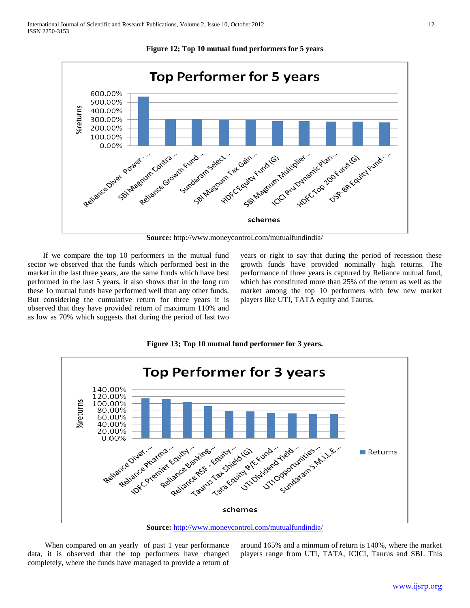**Figure 12; Top 10 mutual fund performers for 5 years**



**Source:** http://www.moneycontrol.com/mutualfundindia/

 If we compare the top 10 performers in the mutual fund sector we observed that the funds which performed best in the market in the last three years, are the same funds which have best performed in the last 5 years, it also shows that in the long run these 1o mutual funds have performed well than any other funds. But considering the cumulative return for three years it is observed that they have provided return of maximum 110% and as low as 70% which suggests that during the period of last two

years or right to say that during the period of recession these growth funds have provided nominally high returns. The performance of three years is captured by Reliance mutual fund, which has constituted more than 25% of the return as well as the market among the top 10 performers with few new market players like UTI, TATA equity and Taurus.

**Figure 13; Top 10 mutual fund performer for 3 years.**



**Source:** <http://www.moneycontrol.com/mutualfundindia/>

 When compared on an yearly of past 1 year performance data, it is observed that the top performers have changed completely, where the funds have managed to provide a return of

around 165% and a minmum of return is 140%, where the market players range from UTI, TATA, ICICI, Taurus and SBI. This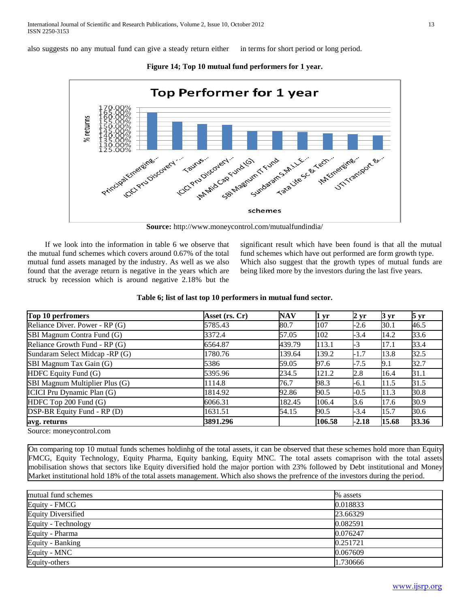also suggests no any mutual fund can give a steady return either in terms for short period or long period.



**Figure 14; Top 10 mutual fund performers for 1 year.**

**Source:** http://www.moneycontrol.com/mutualfundindia/

 If we look into the information in table 6 we observe that the mutual fund schemes which covers around 0.67% of the total mutual fund assets managed by the industry. As well as we also found that the average return is negative in the years which are struck by recession which is around negative 2.18% but the

significant result which have been found is that all the mutual fund schemes which have out performed are form growth type. Which also suggest that the growth types of mutual funds are being liked more by the investors during the last five years.

| Table 6; list of last top 10 performers in mutual fund sector. |  |  |  |  |
|----------------------------------------------------------------|--|--|--|--|
|----------------------------------------------------------------|--|--|--|--|

| Top 10 perfromers                 | Asset (rs. Cr) | <b>NAV</b> | 1 <sub>yr</sub> | $2 \,\rm yr$ | $3 \text{ yr}$ | $5 \,\mathrm{yr}$ |
|-----------------------------------|----------------|------------|-----------------|--------------|----------------|-------------------|
| Reliance Diver. Power - RP (G)    | 5785.43        | 80.7       | 107             | $-2.6$       | 30.1           | 46.5              |
| SBI Magnum Contra Fund (G)        | 3372.4         | 57.05      | 102             | $-3.4$       | 14.2           | 33.6              |
| Reliance Growth Fund - RP (G)     | 6564.87        | 439.79     | 113.1           | $-3$         | 17.1           | 33.4              |
| Sundaram Select Midcap -RP (G)    | 1780.76        | 139.64     | 139.2           | $-1.7$       | 13.8           | 32.5              |
| SBI Magnum Tax Gain (G)           | 5386           | 59.05      | 97.6            | $-7.5$       | 9.1            | 32.7              |
| HDFC Equity Fund (G)              | 5395.96        | 234.5      | 121.2           | 2.8          | 16.4           | 31.1              |
| SBI Magnum Multiplier Plus (G)    | 1114.8         | 76.7       | 98.3            | -6.1         | 11.5           | 31.5              |
| <b>ICICI Pru Dynamic Plan (G)</b> | 1814.92        | 92.86      | 90.5            | $-0.5$       | 11.3           | 30.8              |
| HDFC Top 200 Fund (G)             | 6066.31        | 182.45     | 106.4           | 3.6          | 17.6           | 30.9              |
| DSP-BR Equity Fund - RP (D)       | 1631.51        | 54.15      | 90.5            | $-3.4$       | 15.7           | 30.6              |
| avg. returns                      | 3891.296       |            | 106.58          | $-2.18$      | 15.68          | 33.36             |

Source: moneycontrol.com

On comparing top 10 mutual funds schemes holdinhg of the total assets, it can be observed that these schemes hold more than Equity FMCG, Equity Technology, Equity Pharma, Equity banking, Equity MNC. The total assets comaprison with the total assets mobilisation shows that sectors like Equity diversified hold the major portion with 23% followed by Debt institutional and Money Market institutional hold 18% of the total assets management. Which also shows the prefrence of the investors during the period.

| mutual fund schemes       | % assets |
|---------------------------|----------|
| Equity - FMCG             | 0.018833 |
| <b>Equity Diversified</b> | 23.66329 |
| Equity - Technology       | 0.082591 |
| Equity - Pharma           | 0.076247 |
| Equity - Banking          | 0.251721 |
| Equity - MNC              | 0.067609 |
| Equity-others             | 1.730666 |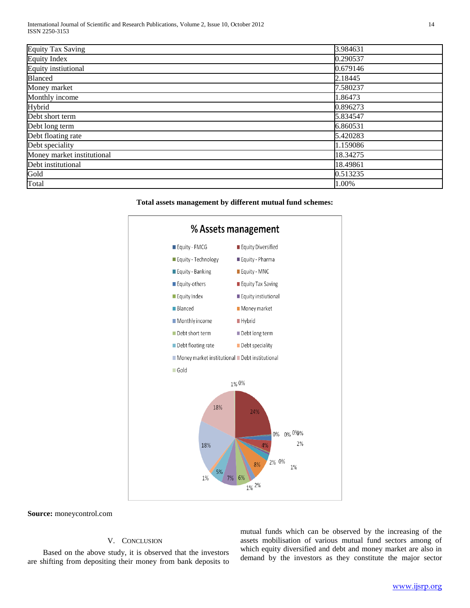| <b>Equity Tax Saving</b>   | 3.984631 |
|----------------------------|----------|
| <b>Equity Index</b>        | 0.290537 |
| Equity instiutional        | 0.679146 |
| Blanced                    | 2.18445  |
| Money market               | 7.580237 |
| Monthly income             | 1.86473  |
| Hybrid                     | 0.896273 |
| Debt short term            | 5.834547 |
| Debt long term             | 6.860531 |
| Debt floating rate         | 5.420283 |
| Debt speciality            | 1.159086 |
| Money market institutional | 18.34275 |
| Debt institutional         | 18.49861 |
| Gold                       | 0.513235 |
| Total                      | 1.00%    |
|                            |          |

**Total assets management by different mutual fund schemes:**



**Source:** moneycontrol.com

# V. CONCLUSION

 Based on the above study, it is observed that the investors are shifting from depositing their money from bank deposits to

mutual funds which can be observed by the increasing of the assets mobilisation of various mutual fund sectors among of which equity diversified and debt and money market are also in demand by the investors as they constitute the major sector